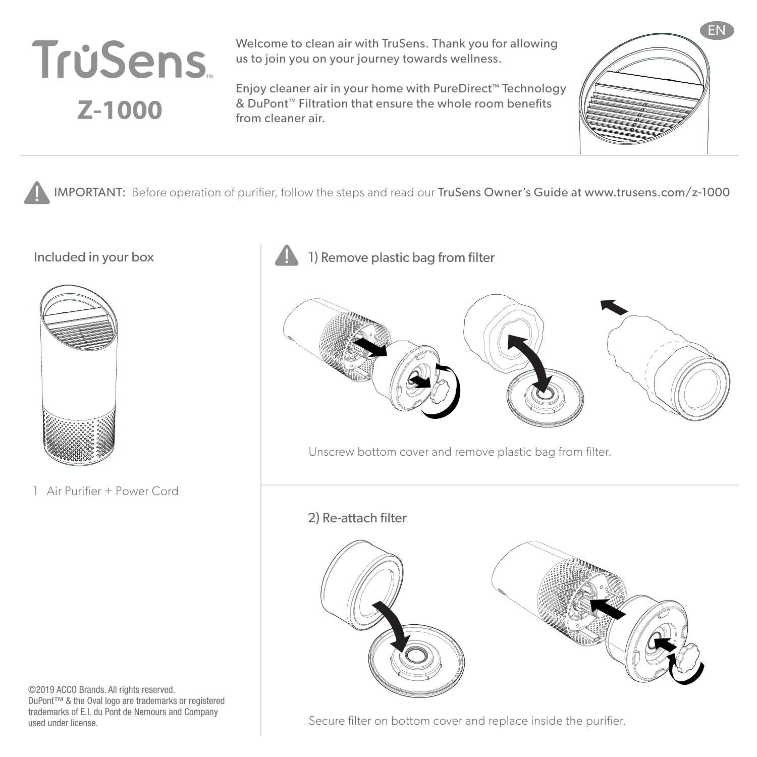

Welcome to clean air with TruSens. Thank you for allowing us to join you on your journey towards wellness.

Enjoy cleaner air in your home with PureDirect™ Technology & DuPont™ Filtration that ensure the whole room benefits from cleaner air.



IMPORTANT: Before operation of purifier, follow the steps and read our TruSens Owner's Guide at www.trusens.com/z-1000



1 Air Purifier + Power Cord

©2019 ACCO Brands. All rights reserved. DuPont™ & the Oval logo are trademarks or registered trademarks of E.I. du Pont de Nemours and Company used under license.

Included in your box 1) Remove plastic bag from filter



Unscrew bottom cover and remove plastic bag from filter.

2) Re-attach filter



Secure filter on bottom cover and replace inside the purifier.